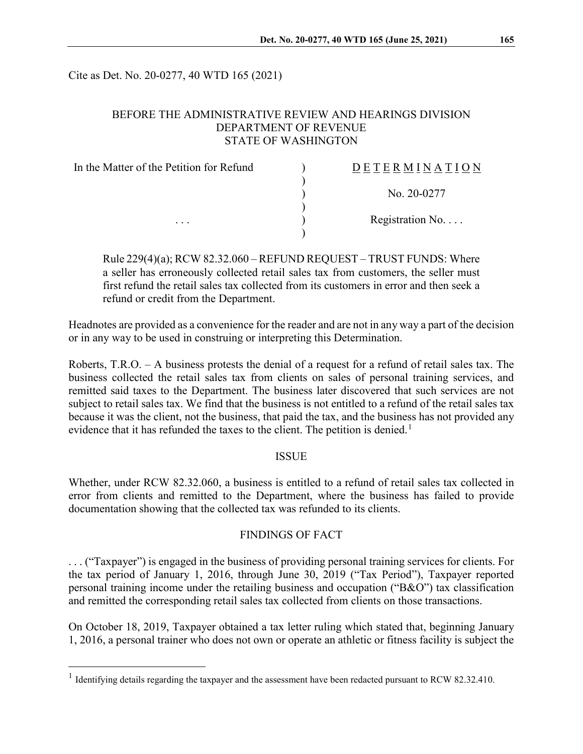Cite as Det. No. 20-0277, 40 WTD 165 (2021)

## BEFORE THE ADMINISTRATIVE REVIEW AND HEARINGS DIVISION DEPARTMENT OF REVENUE STATE OF WASHINGTON

| In the Matter of the Petition for Refund<br>$\cdots$ | DETERMINATION            |
|------------------------------------------------------|--------------------------|
|                                                      | No. 20-0277              |
|                                                      | Registration No. $\dots$ |
|                                                      |                          |

Rule 229(4)(a); RCW 82.32.060 – REFUND REQUEST – TRUST FUNDS: Where a seller has erroneously collected retail sales tax from customers, the seller must first refund the retail sales tax collected from its customers in error and then seek a refund or credit from the Department.

Headnotes are provided as a convenience for the reader and are not in any way a part of the decision or in any way to be used in construing or interpreting this Determination.

Roberts, T.R.O. – A business protests the denial of a request for a refund of retail sales tax. The business collected the retail sales tax from clients on sales of personal training services, and remitted said taxes to the Department. The business later discovered that such services are not subject to retail sales tax. We find that the business is not entitled to a refund of the retail sales tax because it was the client, not the business, that paid the tax, and the business has not provided any evidence that it has refunded the taxes to the client. The petition is denied.<sup>[1](#page-0-0)</sup>

#### **ISSUE**

Whether, under RCW 82.32.060, a business is entitled to a refund of retail sales tax collected in error from clients and remitted to the Department, where the business has failed to provide documentation showing that the collected tax was refunded to its clients.

#### FINDINGS OF FACT

. . . ("Taxpayer") is engaged in the business of providing personal training services for clients. For the tax period of January 1, 2016, through June 30, 2019 ("Tax Period"), Taxpayer reported personal training income under the retailing business and occupation ("B&O") tax classification and remitted the corresponding retail sales tax collected from clients on those transactions.

On October 18, 2019, Taxpayer obtained a tax letter ruling which stated that, beginning January 1, 2016, a personal trainer who does not own or operate an athletic or fitness facility is subject the

<span id="page-0-0"></span><sup>&</sup>lt;sup>1</sup> Identifying details regarding the taxpayer and the assessment have been redacted pursuant to RCW 82.32.410.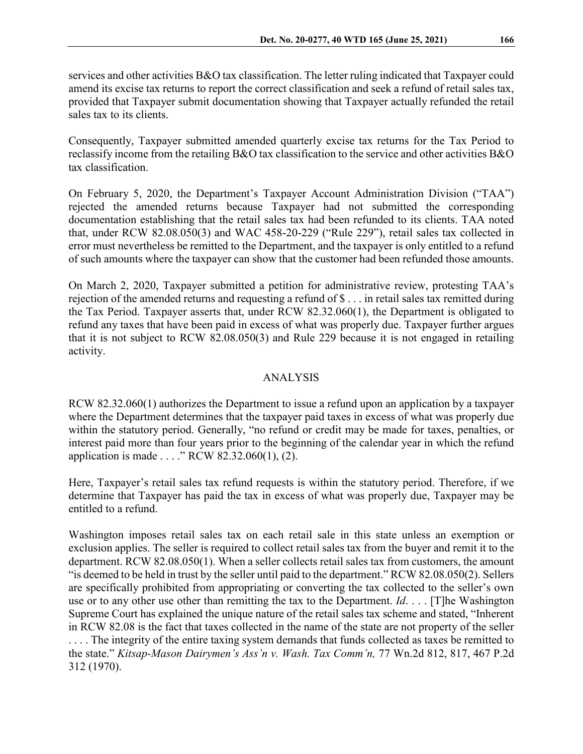services and other activities B&O tax classification. The letter ruling indicated that Taxpayer could amend its excise tax returns to report the correct classification and seek a refund of retail sales tax, provided that Taxpayer submit documentation showing that Taxpayer actually refunded the retail sales tax to its clients.

Consequently, Taxpayer submitted amended quarterly excise tax returns for the Tax Period to reclassify income from the retailing B&O tax classification to the service and other activities B&O tax classification.

On February 5, 2020, the Department's Taxpayer Account Administration Division ("TAA") rejected the amended returns because Taxpayer had not submitted the corresponding documentation establishing that the retail sales tax had been refunded to its clients. TAA noted that, under RCW 82.08.050(3) and WAC 458-20-229 ("Rule 229"), retail sales tax collected in error must nevertheless be remitted to the Department, and the taxpayer is only entitled to a refund of such amounts where the taxpayer can show that the customer had been refunded those amounts.

On March 2, 2020, Taxpayer submitted a petition for administrative review, protesting TAA's rejection of the amended returns and requesting a refund of \$ . . . in retail sales tax remitted during the Tax Period. Taxpayer asserts that, under RCW 82.32.060(1), the Department is obligated to refund any taxes that have been paid in excess of what was properly due. Taxpayer further argues that it is not subject to RCW 82.08.050(3) and Rule 229 because it is not engaged in retailing activity.

# ANALYSIS

RCW 82.32.060(1) authorizes the Department to issue a refund upon an application by a taxpayer where the Department determines that the taxpayer paid taxes in excess of what was properly due within the statutory period. Generally, "no refund or credit may be made for taxes, penalties, or interest paid more than four years prior to the beginning of the calendar year in which the refund application is made . . . ." RCW 82.32.060(1), (2).

Here, Taxpayer's retail sales tax refund requests is within the statutory period. Therefore, if we determine that Taxpayer has paid the tax in excess of what was properly due, Taxpayer may be entitled to a refund.

Washington imposes retail sales tax on each retail sale in this state unless an exemption or exclusion applies. The seller is required to collect retail sales tax from the buyer and remit it to the department. RCW 82.08.050(1). When a seller collects retail sales tax from customers, the amount "is deemed to be held in trust by the seller until paid to the department." RCW 82.08.050(2). Sellers are specifically prohibited from appropriating or converting the tax collected to the seller's own use or to any other use other than remitting the tax to the Department. *Id*. . . . [T]he Washington Supreme Court has explained the unique nature of the retail sales tax scheme and stated, "Inherent in RCW 82.08 is the fact that taxes collected in the name of the state are not property of the seller . . . . The integrity of the entire taxing system demands that funds collected as taxes be remitted to the state." *Kitsap-Mason Dairymen's Ass'n v. Wash. Tax Comm'n,* 77 Wn.2d 812, 817, 467 P.2d 312 (1970).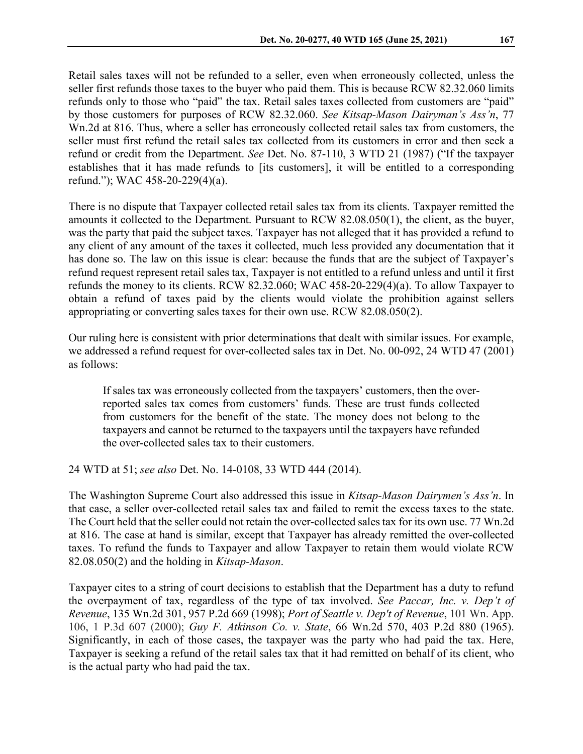Retail sales taxes will not be refunded to a seller, even when erroneously collected, unless the seller first refunds those taxes to the buyer who paid them. This is because RCW 82.32.060 limits refunds only to those who "paid" the tax. Retail sales taxes collected from customers are "paid" by those customers for purposes of RCW 82.32.060. *See Kitsap-Mason Dairyman's Ass'n*, 77 Wn.2d at 816. Thus, where a seller has erroneously collected retail sales tax from customers, the seller must first refund the retail sales tax collected from its customers in error and then seek a refund or credit from the Department. *See* Det. No. 87-110, 3 WTD 21 (1987) ("If the taxpayer establishes that it has made refunds to [its customers], it will be entitled to a corresponding refund."); WAC 458-20-229(4)(a).

There is no dispute that Taxpayer collected retail sales tax from its clients. Taxpayer remitted the amounts it collected to the Department. Pursuant to RCW 82.08.050(1), the client, as the buyer, was the party that paid the subject taxes. Taxpayer has not alleged that it has provided a refund to any client of any amount of the taxes it collected, much less provided any documentation that it has done so. The law on this issue is clear: because the funds that are the subject of Taxpayer's refund request represent retail sales tax, Taxpayer is not entitled to a refund unless and until it first refunds the money to its clients. RCW 82.32.060; WAC 458-20-229(4)(a). To allow Taxpayer to obtain a refund of taxes paid by the clients would violate the prohibition against sellers appropriating or converting sales taxes for their own use. RCW 82.08.050(2).

Our ruling here is consistent with prior determinations that dealt with similar issues. For example, we addressed a refund request for over-collected sales tax in Det. No. 00-092, 24 WTD 47 (2001) as follows:

If sales tax was erroneously collected from the taxpayers' customers, then the overreported sales tax comes from customers' funds. These are trust funds collected from customers for the benefit of the state. The money does not belong to the taxpayers and cannot be returned to the taxpayers until the taxpayers have refunded the over-collected sales tax to their customers.

24 WTD at 51; *see also* Det. No. 14-0108, 33 WTD 444 (2014).

The Washington Supreme Court also addressed this issue in *Kitsap-Mason Dairymen's Ass'n*. In that case, a seller over-collected retail sales tax and failed to remit the excess taxes to the state. The Court held that the seller could not retain the over-collected sales tax for its own use. 77 Wn.2d at 816. The case at hand is similar, except that Taxpayer has already remitted the over-collected taxes. To refund the funds to Taxpayer and allow Taxpayer to retain them would violate RCW 82.08.050(2) and the holding in *Kitsap-Mason*.

Taxpayer cites to a string of court decisions to establish that the Department has a duty to refund the overpayment of tax, regardless of the type of tax involved. *See Paccar, Inc. v. Dep't of Revenue*, 135 Wn.2d 301, 957 P.2d 669 (1998); *Port of Seattle v. Dep't of Revenue*, 101 Wn. App. 106, 1 P.3d 607 (2000); *Guy F. Atkinson Co. v. State*, 66 Wn.2d 570, 403 P.2d 880 (1965). Significantly, in each of those cases, the taxpayer was the party who had paid the tax. Here, Taxpayer is seeking a refund of the retail sales tax that it had remitted on behalf of its client, who is the actual party who had paid the tax.